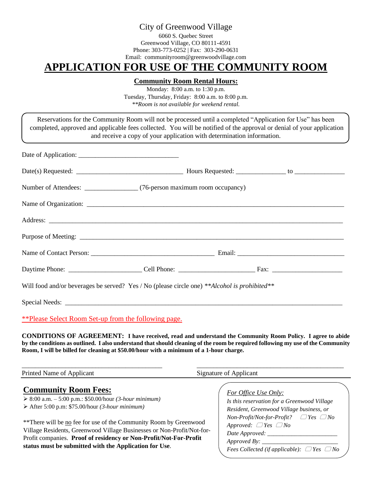# City of Greenwood Village

6060 S. Quebec Street Greenwood Village, CO 80111-4591 Phone: 303-773-0252 | Fax: 303-290-0631 Email: communityroom@greenwoodvillage.com

# **APPLICATION FOR USE OF THE COMMUNITY ROOM**

#### **Community Room Rental Hours:**

Monday: 8:00 a.m. to 1:30 p.m. Tuesday, Thursday, Friday: 8:00 a.m. to 8:00 p.m. *\*\*Room is not available for weekend rental.*

| Reservations for the Community Room will not be processed until a completed "Application for Use" has been<br>completed, approved and applicable fees collected. You will be notified of the approval or denial of your application | and receive a copy of your application with determination information. |  |  |  |
|-------------------------------------------------------------------------------------------------------------------------------------------------------------------------------------------------------------------------------------|------------------------------------------------------------------------|--|--|--|
|                                                                                                                                                                                                                                     |                                                                        |  |  |  |
|                                                                                                                                                                                                                                     |                                                                        |  |  |  |
|                                                                                                                                                                                                                                     |                                                                        |  |  |  |
|                                                                                                                                                                                                                                     |                                                                        |  |  |  |
|                                                                                                                                                                                                                                     |                                                                        |  |  |  |
|                                                                                                                                                                                                                                     |                                                                        |  |  |  |
|                                                                                                                                                                                                                                     |                                                                        |  |  |  |
|                                                                                                                                                                                                                                     |                                                                        |  |  |  |
| Will food and/or beverages be served? Yes / No (please circle one) **Alcohol is prohibited**                                                                                                                                        |                                                                        |  |  |  |
|                                                                                                                                                                                                                                     |                                                                        |  |  |  |

\*\*Please Select Room Set-up from the following page.

**CONDITIONS OF AGREEMENT: I have received, read and understand the Community Room Policy. I agree to abide by the conditions as outlined. I also understand that should cleaning of the room be required following my use of the Community Room, I will be billed for cleaning at \$50.00/hour with a minimum of a 1-hour charge.**

\_\_\_\_\_\_\_\_\_\_\_\_\_\_\_\_\_\_\_\_\_\_\_\_\_\_\_\_\_\_\_\_\_\_\_\_\_\_\_\_\_\_ \_\_\_\_\_\_\_\_\_\_\_\_\_\_\_\_\_\_\_\_\_\_\_\_\_\_\_\_\_\_\_\_\_\_\_\_\_\_\_\_\_\_\_\_ Printed Name of Applicant Signature of Applicant **Community Room Fees:** ➢ 8:00 a.m. – 5:00 p.m.: \$50.00/hour *(3-hour minimum)* ➢ After 5:00 p.m: \$75.00/hour *(3-hour minimum)* \*\*There will be no fee for use of the Community Room by Greenwood Village Residents, Greenwood Village Businesses or Non-Profit/Not-for-Profit companies. **Proof of residency or Non-Profit/Not-For-Profit status must be submitted with the Application for Use**. *For Office Use Only: Is this reservation for a Greenwood Village Resident, Greenwood Village business, or Non-Profit/Not-for-Profit? Yes No Approved:*  $\Box$  *Yes*  $\Box$  *No Date Approved: \_\_\_\_\_\_\_\_\_\_\_\_\_\_\_\_\_\_\_\_\_\_\_ Approved By: \_\_\_\_\_\_\_\_\_\_\_\_\_\_\_\_\_\_\_\_\_\_\_\_\_ Fees Collected (if applicable): Yes No*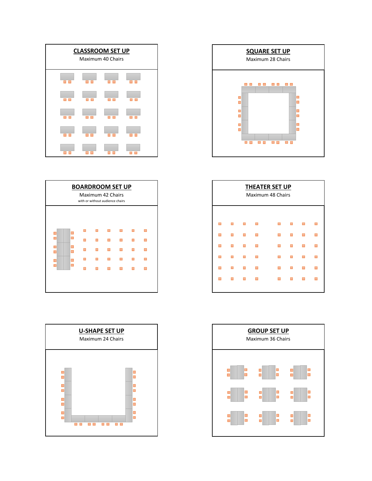







| <b>THEATER SET UP</b><br>Maximum 48 Chairs |  |  |  |  |  |  |   |  |  |
|--------------------------------------------|--|--|--|--|--|--|---|--|--|
| ■                                          |  |  |  |  |  |  | П |  |  |
|                                            |  |  |  |  |  |  |   |  |  |
|                                            |  |  |  |  |  |  |   |  |  |
| ┓                                          |  |  |  |  |  |  |   |  |  |
|                                            |  |  |  |  |  |  |   |  |  |
|                                            |  |  |  |  |  |  | П |  |  |
|                                            |  |  |  |  |  |  |   |  |  |

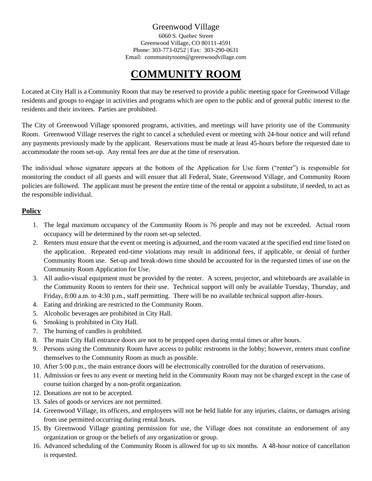# Greenwood Village

6060 S. Quebec Street Greenwood Village, CO 80111-4591 Phone: 303-773-0252 | Fax: 303-290-0631 Email: communityroom@greenwoodvillage.com

# **COMMUNITY ROOM**

Located at City Hall is a Community Room that may be reserved to provide a public meeting space for Greenwood Village residents and groups to engage in activities and programs which are open to the public and of general public interest to the residents and their invitees. Parties are prohibited.

The City of Greenwood Village sponsored programs, activities, and meetings will have priority use of the Community Room. Greenwood Village reserves the right to cancel a scheduled event or meeting with 24-hour notice and will refund any payments previously made by the applicant. Reservations must be made at least 45-hours before the requested date to accommodate the room set-up. Any rental fees are due at the time of reservation.

The individual whose signature appears at the bottom of the Application for Use form ("renter") is responsible for monitoring the conduct of all guests and will ensure that all Federal, State, Greenwood Village, and Community Room policies are followed. The applicant must be present the entire time of the rental or appoint a substitute, if needed, to act as the responsible individual.

### **Policy**

- 1. The legal maximum occupancy of the Community Room is 76 people and may not be exceeded. Actual room occupancy will be determined by the room set-up selected.
- 2. Renters must ensure that the event or meeting is adjourned, and the room vacated at the specified end time listed on the application. Repeated end-time violations may result in additional fees, if applicable, or denial of further Community Room use. Set-up and break-down time should be accounted for in the requested times of use on the Community Room Application for Use.
- 3. All audio-visual equipment must be provided by the renter. A screen, projector, and whiteboards are available in the Community Room to renters for their use. Technical support will only be available Tuesday, Thursday, and Friday, 8:00 a.m. to 4:30 p.m., staff permitting. There will be no available technical support after-hours.
- 4. Eating and drinking are restricted to the Community Room.
- 5. Alcoholic beverages are prohibited in City Hall.
- 6. Smoking is prohibited in City Hall.
- 7. The burning of candles is prohibited.
- 8. The main City Hall entrance doors are not to be propped open during rental times or after hours.
- 9. Persons using the Community Room have access to public restrooms in the lobby; however, renters must confine themselves to the Community Room as much as possible.
- 10. After 5:00 p.m., the main entrance doors will be electronically controlled for the duration of reservations.
- 11. Admission or fees to any event or meeting held in the Community Room may not be charged except in the case of course tuition charged by a non-profit organization.
- 12. Donations are not to be accepted.
- 13. Sales of goods or services are not permitted.
- 14. Greenwood Village, its officers, and employees will not be held liable for any injuries, claims, or damages arising from use permitted occurring during rental hours.
- 15. By Greenwood Village granting permission for use, the Village does not constitute an endorsement of any organization or group or the beliefs of any organization or group.
- 16. Advanced scheduling of the Community Room is allowed for up to six months. A 48-hour notice of cancellation is requested.